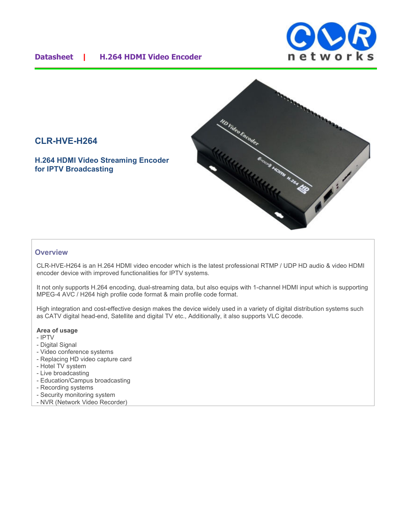### **Datasheet | H.264 HDMI Video Encoder**





# **CLR-HVE-H264**

**H.264 HDMI Video Streaming Encoder for IPTV Broadcasting**

#### **Overview**

CLR-HVE-H264 is an H.264 HDMI video encoder which is the latest professional RTMP / UDP HD audio & video HDMI encoder device with improved functionalities for IPTV systems.

It not only supports H.264 encoding, dual-streaming data, but also equips with 1-channel HDMI input which is supporting MPEG-4 AVC / H264 high profile code format & main profile code format.

High integration and cost-effective design makes the device widely used in a variety of digital distribution systems such as CATV digital head-end, Satellite and digital TV etc., Additionally, it also supports VLC decode.

#### **Area of usage**

- IPTV
- Digital Signal
- Video conference systems
- Replacing HD video capture card
- Hotel TV system
- Live broadcasting
- Education/Campus broadcasting
- Recording systems
- Security monitoring system
- NVR (Network Video Recorder)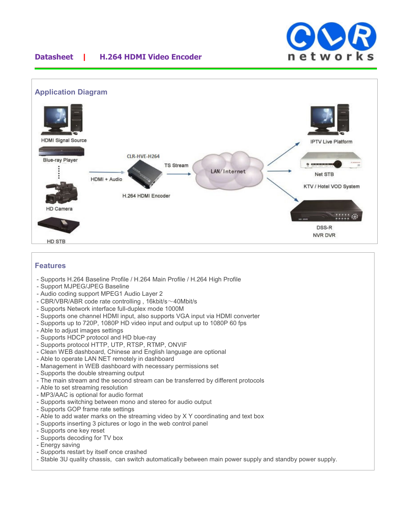

## **Datasheet | H.264 HDMI Video Encoder**



#### **Features**

- Supports H.264 Baseline Profile / H.264 Main Profile / H.264 High Profile
- Support MJPEG/JPEG Baseline
- Audio coding support MPEG1 Audio Layer 2
- CBR/VBR/ABR code rate controlling , 16kbit/s~40Mbit/s
- Supports Network interface full-duplex mode 1000M
- Supports one channel HDMI input, also supports VGA input via HDMI converter
- Supports up to 720P, 1080P HD video input and output up to 1080P 60 fps
- Able to adjust images settings
- Supports HDCP protocol and HD blue-ray
- Supports protocol HTTP, UTP, RTSP, RTMP, ONVIF
- Clean WEB dashboard, Chinese and English language are optional
- Able to operate LAN NET remotely in dashboard
- Management in WEB dashboard with necessary permissions set
- Supports the double streaming output
- The main stream and the second stream can be transferred by different protocols
- Able to set streaming resolution
- MP3/AAC is optional for audio format
- Supports switching between mono and stereo for audio output
- Supports GOP frame rate settings
- Able to add water marks on the streaming video by X Y coordinating and text box
- Supports inserting 3 pictures or logo in the web control panel
- Supports one key reset
- Supports decoding for TV box
- Energy saving
- Supports restart by itself once crashed
- Stable 3U quality chassis, can switch automatically between main power supply and standby power supply.